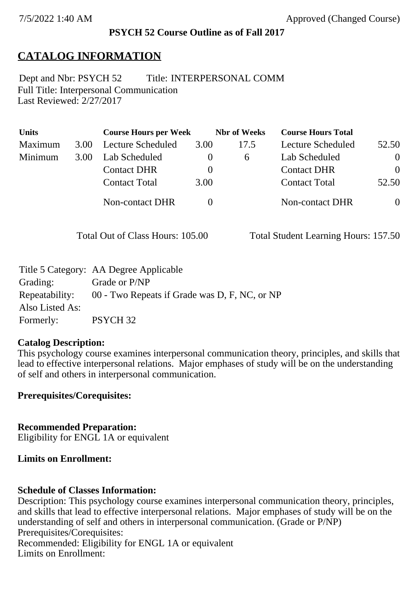### **PSYCH 52 Course Outline as of Fall 2017**

# **CATALOG INFORMATION**

Full Title: Interpersonal Communication Last Reviewed: 2/27/2017 Dept and Nbr: PSYCH 52 Title: INTERPERSONAL COMM

| <b>Units</b> |      | <b>Course Hours per Week</b> |          | <b>Nbr</b> of Weeks | <b>Course Hours Total</b> |                |
|--------------|------|------------------------------|----------|---------------------|---------------------------|----------------|
| Maximum      | 3.00 | Lecture Scheduled            | 3.00     | 17.5                | Lecture Scheduled         | 52.50          |
| Minimum      | 3.00 | Lab Scheduled                | $\theta$ | 6                   | Lab Scheduled             | $\overline{0}$ |
|              |      | <b>Contact DHR</b>           | $\theta$ |                     | <b>Contact DHR</b>        | $\Omega$       |
|              |      | <b>Contact Total</b>         | 3.00     |                     | <b>Contact Total</b>      | 52.50          |
|              |      | Non-contact DHR              |          |                     | Non-contact DHR           | $\overline{0}$ |

Total Out of Class Hours: 105.00 Total Student Learning Hours: 157.50

|                 | Title 5 Category: AA Degree Applicable        |
|-----------------|-----------------------------------------------|
| Grading:        | Grade or P/NP                                 |
| Repeatability:  | 00 - Two Repeats if Grade was D, F, NC, or NP |
| Also Listed As: |                                               |
| Formerly:       | PSYCH <sub>32</sub>                           |

### **Catalog Description:**

This psychology course examines interpersonal communication theory, principles, and skills that lead to effective interpersonal relations. Major emphases of study will be on the understanding of self and others in interpersonal communication.

**Prerequisites/Corequisites:**

**Recommended Preparation:** Eligibility for ENGL 1A or equivalent

### **Limits on Enrollment:**

### **Schedule of Classes Information:**

Description: This psychology course examines interpersonal communication theory, principles, and skills that lead to effective interpersonal relations. Major emphases of study will be on the understanding of self and others in interpersonal communication. (Grade or P/NP) Prerequisites/Corequisites: Recommended: Eligibility for ENGL 1A or equivalent Limits on Enrollment: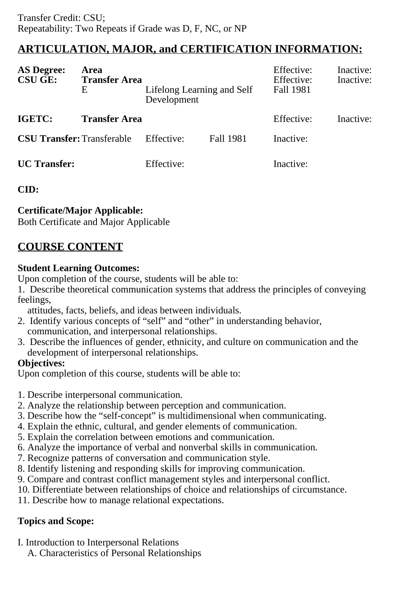# **ARTICULATION, MAJOR, and CERTIFICATION INFORMATION:**

| <b>AS Degree:</b><br><b>CSU GE:</b> | Area<br><b>Transfer Area</b><br>Ε | Lifelong Learning and Self<br>Development |                  | Effective:<br>Effective:<br>Fall 1981 | Inactive:<br>Inactive: |
|-------------------------------------|-----------------------------------|-------------------------------------------|------------------|---------------------------------------|------------------------|
| IGETC:                              | <b>Transfer Area</b>              |                                           |                  | Effective:                            | Inactive:              |
| <b>CSU Transfer: Transferable</b>   |                                   | Effective:                                | <b>Fall 1981</b> | Inactive:                             |                        |
| <b>UC</b> Transfer:                 |                                   | Effective:                                |                  | Inactive:                             |                        |

## **CID:**

## **Certificate/Major Applicable:**

[Both Certificate and Major Applicable](SR_ClassCheck.aspx?CourseKey=PSYCH52)

# **COURSE CONTENT**

## **Student Learning Outcomes:**

Upon completion of the course, students will be able to:

1. Describe theoretical communication systems that address the principles of conveying feelings,

attitudes, facts, beliefs, and ideas between individuals.

- 2. Identify various concepts of "self" and "other" in understanding behavior, communication, and interpersonal relationships.
- 3. Describe the influences of gender, ethnicity, and culture on communication and the development of interpersonal relationships.

## **Objectives:**

Upon completion of this course, students will be able to:

- 1. Describe interpersonal communication.
- 2. Analyze the relationship between perception and communication.
- 3. Describe how the "self-concept" is multidimensional when communicating.
- 4. Explain the ethnic, cultural, and gender elements of communication.
- 5. Explain the correlation between emotions and communication.
- 6. Analyze the importance of verbal and nonverbal skills in communication.
- 7. Recognize patterns of conversation and communication style.
- 8. Identify listening and responding skills for improving communication.
- 9. Compare and contrast conflict management styles and interpersonal conflict.
- 10. Differentiate between relationships of choice and relationships of circumstance.
- 11. Describe how to manage relational expectations.

## **Topics and Scope:**

- I. Introduction to Interpersonal Relations
	- A. Characteristics of Personal Relationships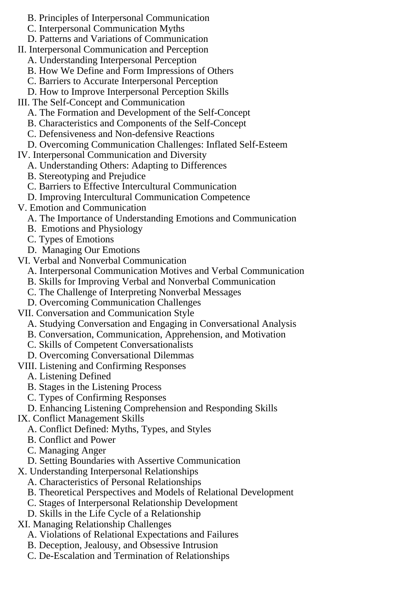- B. Principles of Interpersonal Communication
- C. Interpersonal Communication Myths
- D. Patterns and Variations of Communication
- II. Interpersonal Communication and Perception
	- A. Understanding Interpersonal Perception
	- B. How We Define and Form Impressions of Others
	- C. Barriers to Accurate Interpersonal Perception
	- D. How to Improve Interpersonal Perception Skills
- III. The Self-Concept and Communication
	- A. The Formation and Development of the Self-Concept
	- B. Characteristics and Components of the Self-Concept
	- C. Defensiveness and Non-defensive Reactions
	- D. Overcoming Communication Challenges: Inflated Self-Esteem
- IV. Interpersonal Communication and Diversity
	- A. Understanding Others: Adapting to Differences
	- B. Stereotyping and Prejudice
	- C. Barriers to Effective Intercultural Communication
	- D. Improving Intercultural Communication Competence
- V. Emotion and Communication
	- A. The Importance of Understanding Emotions and Communication
	- B. Emotions and Physiology
	- C. Types of Emotions
	- D. Managing Our Emotions
- VI. Verbal and Nonverbal Communication
	- A. Interpersonal Communication Motives and Verbal Communication
	- B. Skills for Improving Verbal and Nonverbal Communication
	- C. The Challenge of Interpreting Nonverbal Messages
	- D. Overcoming Communication Challenges
- VII. Conversation and Communication Style
	- A. Studying Conversation and Engaging in Conversational Analysis
	- B. Conversation, Communication, Apprehension, and Motivation
	- C. Skills of Competent Conversationalists
	- D. Overcoming Conversational Dilemmas
- VIII. Listening and Confirming Responses
	- A. Listening Defined
	- B. Stages in the Listening Process
	- C. Types of Confirming Responses
- D. Enhancing Listening Comprehension and Responding Skills
- IX. Conflict Management Skills
	- A. Conflict Defined: Myths, Types, and Styles
	- B. Conflict and Power
	- C. Managing Anger
	- D. Setting Boundaries with Assertive Communication
- X. Understanding Interpersonal Relationships
	- A. Characteristics of Personal Relationships
	- B. Theoretical Perspectives and Models of Relational Development
	- C. Stages of Interpersonal Relationship Development
	- D. Skills in the Life Cycle of a Relationship
- XI. Managing Relationship Challenges
	- A. Violations of Relational Expectations and Failures
	- B. Deception, Jealousy, and Obsessive Intrusion
	- C. De-Escalation and Termination of Relationships